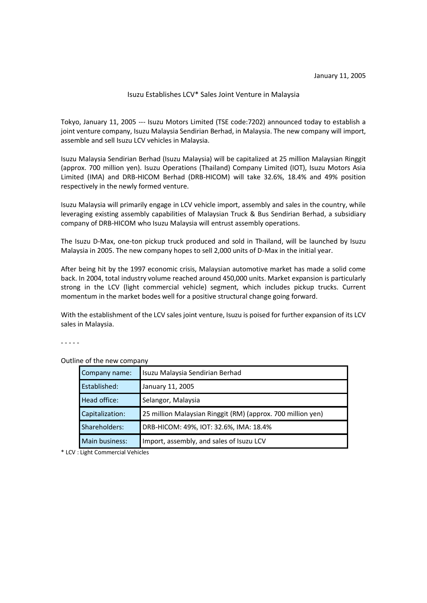#### Isuzu Establishes LCV\* Sales Joint Venture in Malaysia

Tokyo, January 11, 2005 --- Isuzu Motors Limited (TSE code:7202) announced today to establish a joint venture company, Isuzu Malaysia Sendirian Berhad, in Malaysia. The new company will import, assemble and sell Isuzu LCV vehicles in Malaysia.

Isuzu Malaysia Sendirian Berhad (Isuzu Malaysia) will be capitalized at 25 million Malaysian Ringgit (approx. 700 million yen). Isuzu Operations (Thailand) Company Limited (IOT), Isuzu Motors Asia Limited (IMA) and DRB-HICOM Berhad (DRB-HICOM) will take 32.6%, 18.4% and 49% position respectively in the newly formed venture.

Isuzu Malaysia will primarily engage in LCV vehicle import, assembly and sales in the country, while leveraging existing assembly capabilities of Malaysian Truck & Bus Sendirian Berhad, a subsidiary company of DRB-HICOM who Isuzu Malaysia will entrust assembly operations.

The Isuzu D-Max, one-ton pickup truck produced and sold in Thailand, will be launched by Isuzu Malaysia in 2005. The new company hopes to sell 2,000 units of D-Max in the initial year.

After being hit by the 1997 economic crisis, Malaysian automotive market has made a solid come back. In 2004, total industry volume reached around 450,000 units. Market expansion is particularly strong in the LCV (light commercial vehicle) segment, which includes pickup trucks. Current momentum in the market bodes well for a positive structural change going forward.

With the establishment of the LCV sales joint venture, Isuzu is poised for further expansion of its LCV sales in Malaysia.

- - - - -

| Company name:   | Isuzu Malaysia Sendirian Berhad                             |
|-----------------|-------------------------------------------------------------|
| Established:    | January 11, 2005                                            |
| Head office:    | Selangor, Malaysia                                          |
| Capitalization: | 25 million Malaysian Ringgit (RM) (approx. 700 million yen) |
| Shareholders:   | DRB-HICOM: 49%, IOT: 32.6%, IMA: 18.4%                      |
| Main business:  | Import, assembly, and sales of Isuzu LCV                    |

Outline of the new company

\* LCV : Light Commercial Vehicles